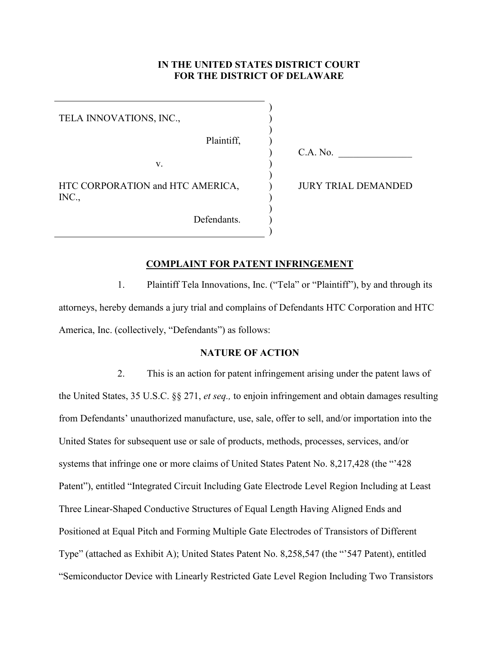#### **IN THE UNITED STATES DISTRICT COURT FOR THE DISTRICT OF DELAWARE**

) ) ) ) ) ) ) ) ) ) ) )

TELA INNOVATIONS, INC.,

Plaintiff,

Defendants.

v.

HTC CORPORATION and HTC AMERICA, INC.,

C.A. No.

JURY TRIAL DEMANDED

#### **COMPLAINT FOR PATENT INFRINGEMENT**

1. Plaintiff Tela Innovations, Inc. ("Tela" or "Plaintiff"), by and through its attorneys, hereby demands a jury trial and complains of Defendants HTC Corporation and HTC America, Inc. (collectively, "Defendants") as follows:

#### **NATURE OF ACTION**

2. This is an action for patent infringement arising under the patent laws of the United States, 35 U.S.C. §§ 271, *et seq.,* to enjoin infringement and obtain damages resulting from Defendants' unauthorized manufacture, use, sale, offer to sell, and/or importation into the United States for subsequent use or sale of products, methods, processes, services, and/or systems that infringe one or more claims of United States Patent No. 8,217,428 (the "'428 Patent"), entitled "Integrated Circuit Including Gate Electrode Level Region Including at Least Three Linear-Shaped Conductive Structures of Equal Length Having Aligned Ends and Positioned at Equal Pitch and Forming Multiple Gate Electrodes of Transistors of Different Type" (attached as Exhibit A); United States Patent No. 8,258,547 (the "'547 Patent), entitled "Semiconductor Device with Linearly Restricted Gate Level Region Including Two Transistors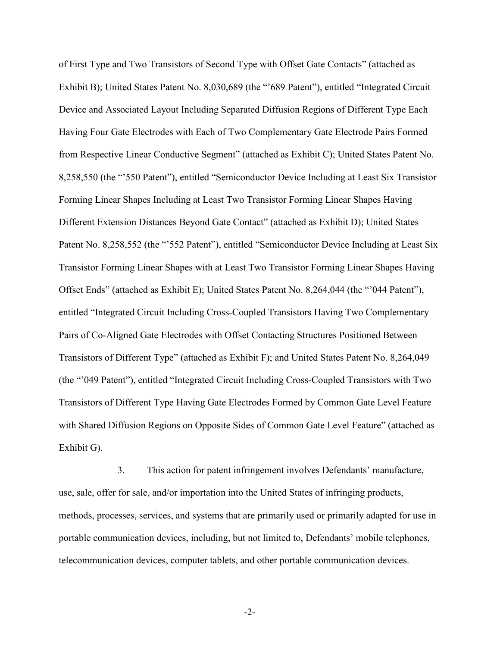of First Type and Two Transistors of Second Type with Offset Gate Contacts" (attached as Exhibit B); United States Patent No. 8,030,689 (the "'689 Patent"), entitled "Integrated Circuit Device and Associated Layout Including Separated Diffusion Regions of Different Type Each Having Four Gate Electrodes with Each of Two Complementary Gate Electrode Pairs Formed from Respective Linear Conductive Segment" (attached as Exhibit C); United States Patent No. 8,258,550 (the "'550 Patent"), entitled "Semiconductor Device Including at Least Six Transistor Forming Linear Shapes Including at Least Two Transistor Forming Linear Shapes Having Different Extension Distances Beyond Gate Contact" (attached as Exhibit D); United States Patent No. 8,258,552 (the "552 Patent"), entitled "Semiconductor Device Including at Least Six Transistor Forming Linear Shapes with at Least Two Transistor Forming Linear Shapes Having Offset Ends" (attached as Exhibit E); United States Patent No. 8,264,044 (the "'044 Patent"), entitled "Integrated Circuit Including Cross-Coupled Transistors Having Two Complementary Pairs of Co-Aligned Gate Electrodes with Offset Contacting Structures Positioned Between Transistors of Different Type" (attached as Exhibit F); and United States Patent No. 8,264,049 (the "'049 Patent"), entitled "Integrated Circuit Including Cross-Coupled Transistors with Two Transistors of Different Type Having Gate Electrodes Formed by Common Gate Level Feature with Shared Diffusion Regions on Opposite Sides of Common Gate Level Feature" (attached as Exhibit G).

3. This action for patent infringement involves Defendants' manufacture, use, sale, offer for sale, and/or importation into the United States of infringing products, methods, processes, services, and systems that are primarily used or primarily adapted for use in portable communication devices, including, but not limited to, Defendants' mobile telephones, telecommunication devices, computer tablets, and other portable communication devices.

-2-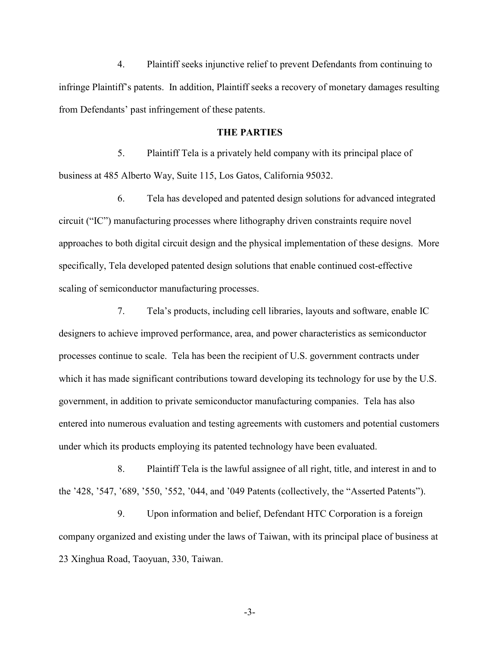4. Plaintiff seeks injunctive relief to prevent Defendants from continuing to infringe Plaintiff's patents. In addition, Plaintiff seeks a recovery of monetary damages resulting from Defendants' past infringement of these patents.

#### **THE PARTIES**

5. Plaintiff Tela is a privately held company with its principal place of business at 485 Alberto Way, Suite 115, Los Gatos, California 95032.

6. Tela has developed and patented design solutions for advanced integrated circuit ("IC") manufacturing processes where lithography driven constraints require novel approaches to both digital circuit design and the physical implementation of these designs. More specifically, Tela developed patented design solutions that enable continued cost-effective scaling of semiconductor manufacturing processes.

7. Tela's products, including cell libraries, layouts and software, enable IC designers to achieve improved performance, area, and power characteristics as semiconductor processes continue to scale. Tela has been the recipient of U.S. government contracts under which it has made significant contributions toward developing its technology for use by the U.S. government, in addition to private semiconductor manufacturing companies. Tela has also entered into numerous evaluation and testing agreements with customers and potential customers under which its products employing its patented technology have been evaluated.

8. Plaintiff Tela is the lawful assignee of all right, title, and interest in and to the '428, '547, '689, '550, '552, '044, and '049 Patents (collectively, the "Asserted Patents").

9. Upon information and belief, Defendant HTC Corporation is a foreign company organized and existing under the laws of Taiwan, with its principal place of business at 23 Xinghua Road, Taoyuan, 330, Taiwan.

-3-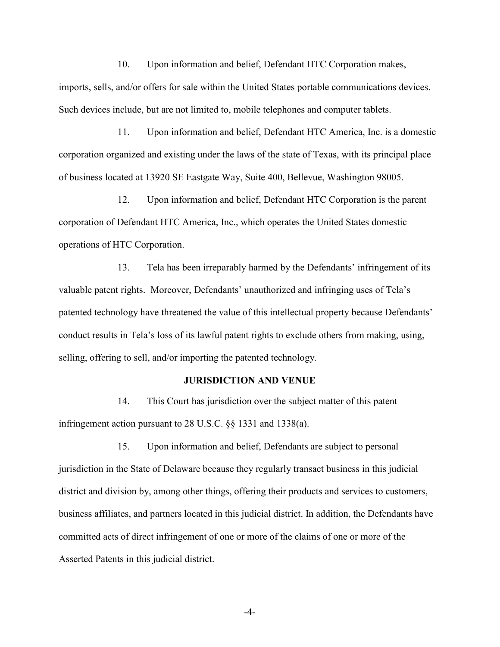10. Upon information and belief, Defendant HTC Corporation makes, imports, sells, and/or offers for sale within the United States portable communications devices. Such devices include, but are not limited to, mobile telephones and computer tablets.

11. Upon information and belief, Defendant HTC America, Inc. is a domestic corporation organized and existing under the laws of the state of Texas, with its principal place of business located at 13920 SE Eastgate Way, Suite 400, Bellevue, Washington 98005.

12. Upon information and belief, Defendant HTC Corporation is the parent corporation of Defendant HTC America, Inc., which operates the United States domestic operations of HTC Corporation.

13. Tela has been irreparably harmed by the Defendants' infringement of its valuable patent rights. Moreover, Defendants' unauthorized and infringing uses of Tela's patented technology have threatened the value of this intellectual property because Defendants' conduct results in Tela's loss of its lawful patent rights to exclude others from making, using, selling, offering to sell, and/or importing the patented technology.

#### **JURISDICTION AND VENUE**

14. This Court has jurisdiction over the subject matter of this patent infringement action pursuant to 28 U.S.C. §§ 1331 and 1338(a).

15. Upon information and belief, Defendants are subject to personal jurisdiction in the State of Delaware because they regularly transact business in this judicial district and division by, among other things, offering their products and services to customers, business affiliates, and partners located in this judicial district. In addition, the Defendants have committed acts of direct infringement of one or more of the claims of one or more of the Asserted Patents in this judicial district.

-4-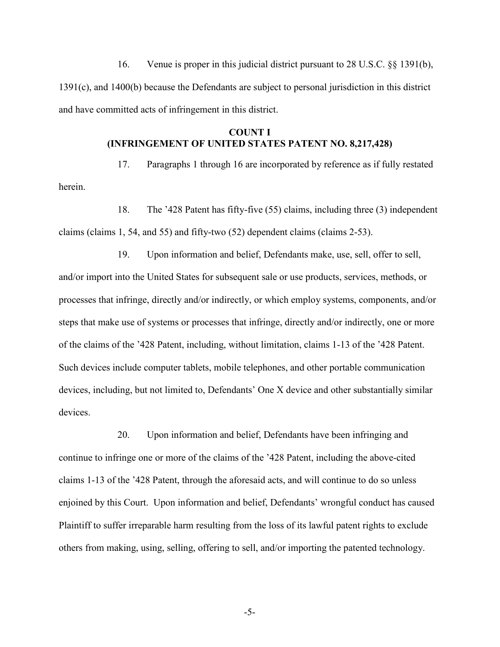16. Venue is proper in this judicial district pursuant to 28 U.S.C. §§ 1391(b), 1391(c), and 1400(b) because the Defendants are subject to personal jurisdiction in this district and have committed acts of infringement in this district.

## **COUNT I (INFRINGEMENT OF UNITED STATES PATENT NO. 8,217,428)**

herein.

17. Paragraphs 1 through 16 are incorporated by reference as if fully restated

18. The '428 Patent has fifty-five (55) claims, including three (3) independent claims (claims 1, 54, and 55) and fifty-two (52) dependent claims (claims 2-53).

19. Upon information and belief, Defendants make, use, sell, offer to sell, and/or import into the United States for subsequent sale or use products, services, methods, or processes that infringe, directly and/or indirectly, or which employ systems, components, and/or steps that make use of systems or processes that infringe, directly and/or indirectly, one or more of the claims of the '428 Patent, including, without limitation, claims 1-13 of the '428 Patent. Such devices include computer tablets, mobile telephones, and other portable communication devices, including, but not limited to, Defendants' One X device and other substantially similar devices.

20. Upon information and belief, Defendants have been infringing and continue to infringe one or more of the claims of the '428 Patent, including the above-cited claims 1-13 of the '428 Patent, through the aforesaid acts, and will continue to do so unless enjoined by this Court. Upon information and belief, Defendants' wrongful conduct has caused Plaintiff to suffer irreparable harm resulting from the loss of its lawful patent rights to exclude others from making, using, selling, offering to sell, and/or importing the patented technology.

-5-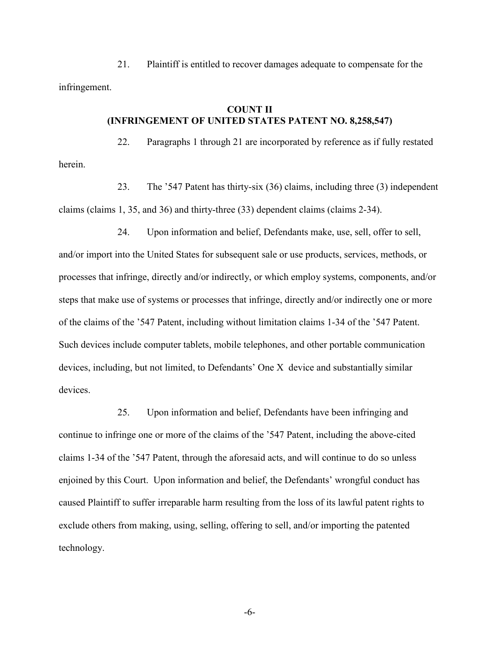## **COUNT II (INFRINGEMENT OF UNITED STATES PATENT NO. 8,258,547)**

22. Paragraphs 1 through 21 are incorporated by reference as if fully restated herein.

23. The '547 Patent has thirty-six (36) claims, including three (3) independent claims (claims 1, 35, and 36) and thirty-three (33) dependent claims (claims 2-34).

24. Upon information and belief, Defendants make, use, sell, offer to sell, and/or import into the United States for subsequent sale or use products, services, methods, or processes that infringe, directly and/or indirectly, or which employ systems, components, and/or steps that make use of systems or processes that infringe, directly and/or indirectly one or more of the claims of the '547 Patent, including without limitation claims 1-34 of the '547 Patent. Such devices include computer tablets, mobile telephones, and other portable communication devices, including, but not limited, to Defendants' One X device and substantially similar devices.

25. Upon information and belief, Defendants have been infringing and continue to infringe one or more of the claims of the '547 Patent, including the above-cited claims 1-34 of the '547 Patent, through the aforesaid acts, and will continue to do so unless enjoined by this Court. Upon information and belief, the Defendants' wrongful conduct has caused Plaintiff to suffer irreparable harm resulting from the loss of its lawful patent rights to exclude others from making, using, selling, offering to sell, and/or importing the patented technology.

-6-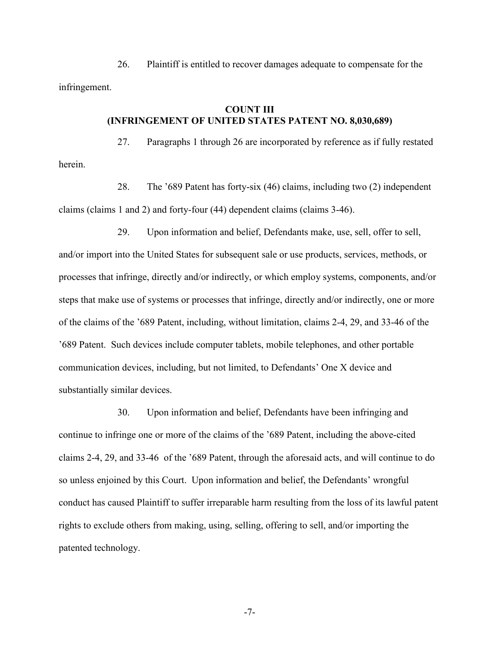# **COUNT III (INFRINGEMENT OF UNITED STATES PATENT NO. 8,030,689)**

27. Paragraphs 1 through 26 are incorporated by reference as if fully restated herein.

28. The '689 Patent has forty-six (46) claims, including two (2) independent claims (claims 1 and 2) and forty-four (44) dependent claims (claims 3-46).

29. Upon information and belief, Defendants make, use, sell, offer to sell, and/or import into the United States for subsequent sale or use products, services, methods, or processes that infringe, directly and/or indirectly, or which employ systems, components, and/or steps that make use of systems or processes that infringe, directly and/or indirectly, one or more of the claims of the '689 Patent, including, without limitation, claims 2-4, 29, and 33-46 of the '689 Patent. Such devices include computer tablets, mobile telephones, and other portable communication devices, including, but not limited, to Defendants' One X device and substantially similar devices.

30. Upon information and belief, Defendants have been infringing and continue to infringe one or more of the claims of the '689 Patent, including the above-cited claims 2-4, 29, and 33-46 of the '689 Patent, through the aforesaid acts, and will continue to do so unless enjoined by this Court. Upon information and belief, the Defendants' wrongful conduct has caused Plaintiff to suffer irreparable harm resulting from the loss of its lawful patent rights to exclude others from making, using, selling, offering to sell, and/or importing the patented technology.

-7-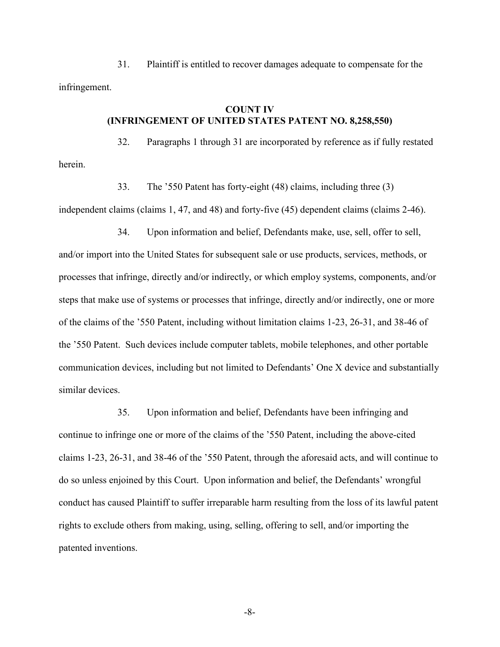# **COUNT IV (INFRINGEMENT OF UNITED STATES PATENT NO. 8,258,550)**

32. Paragraphs 1 through 31 are incorporated by reference as if fully restated herein.

33. The '550 Patent has forty-eight (48) claims, including three (3)

independent claims (claims 1, 47, and 48) and forty-five (45) dependent claims (claims 2-46).

34. Upon information and belief, Defendants make, use, sell, offer to sell, and/or import into the United States for subsequent sale or use products, services, methods, or processes that infringe, directly and/or indirectly, or which employ systems, components, and/or steps that make use of systems or processes that infringe, directly and/or indirectly, one or more of the claims of the '550 Patent, including without limitation claims 1-23, 26-31, and 38-46 of the '550 Patent. Such devices include computer tablets, mobile telephones, and other portable communication devices, including but not limited to Defendants' One X device and substantially similar devices.

35. Upon information and belief, Defendants have been infringing and continue to infringe one or more of the claims of the '550 Patent, including the above-cited claims 1-23, 26-31, and 38-46 of the '550 Patent, through the aforesaid acts, and will continue to do so unless enjoined by this Court. Upon information and belief, the Defendants' wrongful conduct has caused Plaintiff to suffer irreparable harm resulting from the loss of its lawful patent rights to exclude others from making, using, selling, offering to sell, and/or importing the patented inventions.

-8-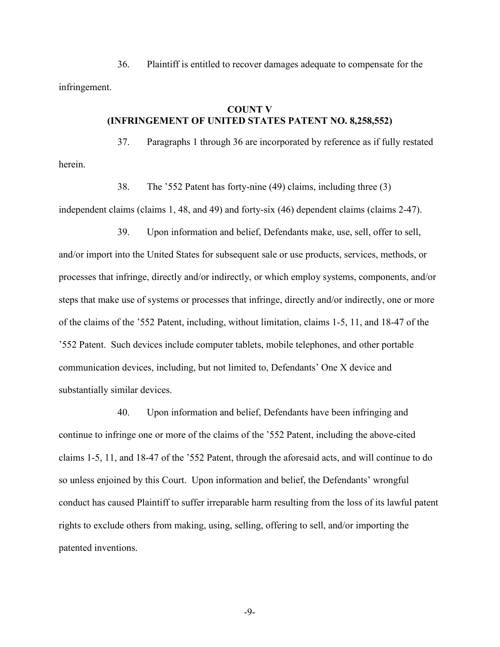# **COUNT V (INFRINGEMENT OF UNITED STATES PATENT NO. 8,258,552)**

37. Paragraphs 1 through 36 are incorporated by reference as if fully restated herein.

38. The '552 Patent has forty-nine (49) claims, including three (3)

independent claims (claims 1, 48, and 49) and forty-six (46) dependent claims (claims 2-47).

39. Upon information and belief, Defendants make, use, sell, offer to sell, and/or import into the United States for subsequent sale or use products, services, methods, or processes that infringe, directly and/or indirectly, or which employ systems, components, and/or steps that make use of systems or processes that infringe, directly and/or indirectly, one or more of the claims of the '552 Patent, including, without limitation, claims 1-5, 11, and 18-47 of the '552 Patent. Such devices include computer tablets, mobile telephones, and other portable communication devices, including, but not limited to, Defendants' One X device and substantially similar devices.

40. Upon information and belief, Defendants have been infringing and continue to infringe one or more of the claims of the '552 Patent, including the above-cited claims 1-5, 11, and 18-47 of the '552 Patent, through the aforesaid acts, and will continue to do so unless enjoined by this Court. Upon information and belief, the Defendants' wrongful conduct has caused Plaintiff to suffer irreparable harm resulting from the loss of its lawful patent rights to exclude others from making, using, selling, offering to sell, and/or importing the patented inventions.

-9-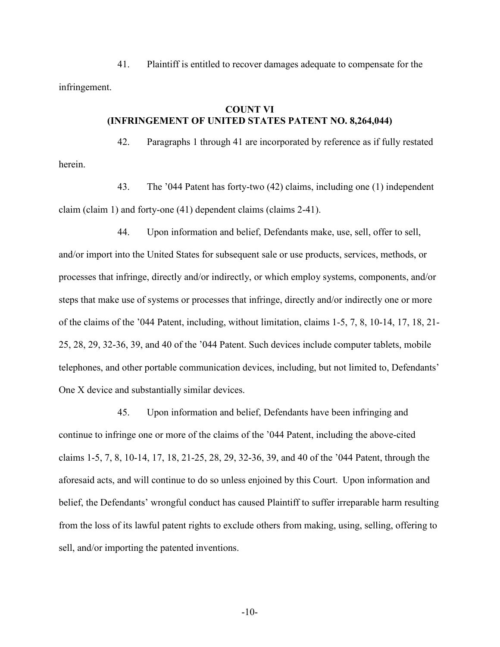# **COUNT VI (INFRINGEMENT OF UNITED STATES PATENT NO. 8,264,044)**

42. Paragraphs 1 through 41 are incorporated by reference as if fully restated herein.

43. The '044 Patent has forty-two (42) claims, including one (1) independent claim (claim 1) and forty-one (41) dependent claims (claims 2-41).

44. Upon information and belief, Defendants make, use, sell, offer to sell, and/or import into the United States for subsequent sale or use products, services, methods, or processes that infringe, directly and/or indirectly, or which employ systems, components, and/or steps that make use of systems or processes that infringe, directly and/or indirectly one or more of the claims of the '044 Patent, including, without limitation, claims 1-5, 7, 8, 10-14, 17, 18, 21- 25, 28, 29, 32-36, 39, and 40 of the '044 Patent. Such devices include computer tablets, mobile telephones, and other portable communication devices, including, but not limited to, Defendants' One X device and substantially similar devices.

45. Upon information and belief, Defendants have been infringing and continue to infringe one or more of the claims of the '044 Patent, including the above-cited claims 1-5, 7, 8, 10-14, 17, 18, 21-25, 28, 29, 32-36, 39, and 40 of the '044 Patent, through the aforesaid acts, and will continue to do so unless enjoined by this Court. Upon information and belief, the Defendants' wrongful conduct has caused Plaintiff to suffer irreparable harm resulting from the loss of its lawful patent rights to exclude others from making, using, selling, offering to sell, and/or importing the patented inventions.

-10-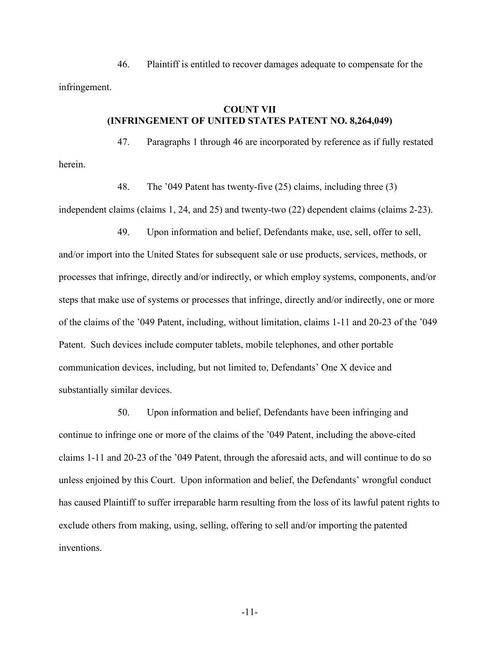## **COUNT VII (INFRINGEMENT OF UNITED STATES PATENT NO. 8,264,049)**

47. Paragraphs 1 through 46 are incorporated by reference as if fully restated herein.

48. The '049 Patent has twenty-five (25) claims, including three (3)

independent claims (claims 1, 24, and 25) and twenty-two (22) dependent claims (claims 2-23).

49. Upon information and belief, Defendants make, use, sell, offer to sell, and/or import into the United States for subsequent sale or use products, services, methods, or processes that infringe, directly and/or indirectly, or which employ systems, components, and/or steps that make use of systems or processes that infringe, directly and/or indirectly, one or more of the claims of the '049 Patent, including, without limitation, claims 1-11 and 20-23 of the '049 Patent. Such devices include computer tablets, mobile telephones, and other portable communication devices, including, but not limited to, Defendants' One X device and substantially similar devices.

50. Upon information and belief, Defendants have been infringing and continue to infringe one or more of the claims of the '049 Patent, including the above-cited claims 1-11 and 20-23 of the '049 Patent, through the aforesaid acts, and will continue to do so unless enjoined by this Court. Upon information and belief, the Defendants' wrongful conduct has caused Plaintiff to suffer irreparable harm resulting from the loss of its lawful patent rights to exclude others from making, using, selling, offering to sell and/or importing the patented inventions.

-11-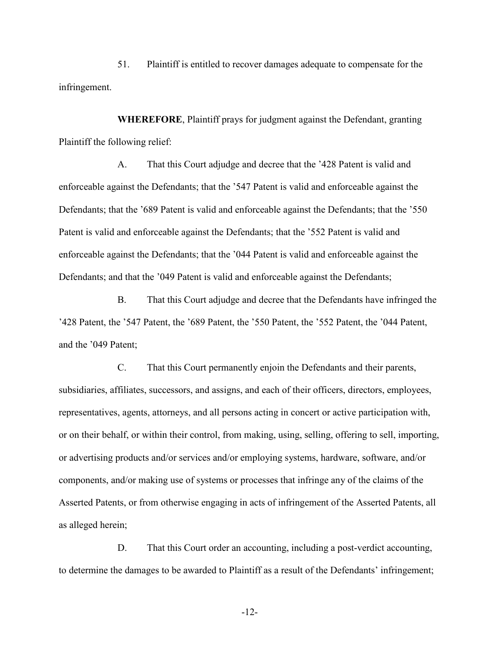**WHEREFORE**, Plaintiff prays for judgment against the Defendant, granting Plaintiff the following relief:

A. That this Court adjudge and decree that the '428 Patent is valid and enforceable against the Defendants; that the '547 Patent is valid and enforceable against the Defendants; that the '689 Patent is valid and enforceable against the Defendants; that the '550 Patent is valid and enforceable against the Defendants; that the '552 Patent is valid and enforceable against the Defendants; that the '044 Patent is valid and enforceable against the Defendants; and that the '049 Patent is valid and enforceable against the Defendants;

B. That this Court adjudge and decree that the Defendants have infringed the '428 Patent, the '547 Patent, the '689 Patent, the '550 Patent, the '552 Patent, the '044 Patent, and the '049 Patent;

C. That this Court permanently enjoin the Defendants and their parents, subsidiaries, affiliates, successors, and assigns, and each of their officers, directors, employees, representatives, agents, attorneys, and all persons acting in concert or active participation with, or on their behalf, or within their control, from making, using, selling, offering to sell, importing, or advertising products and/or services and/or employing systems, hardware, software, and/or components, and/or making use of systems or processes that infringe any of the claims of the Asserted Patents, or from otherwise engaging in acts of infringement of the Asserted Patents, all as alleged herein;

D. That this Court order an accounting, including a post-verdict accounting, to determine the damages to be awarded to Plaintiff as a result of the Defendants' infringement;

-12-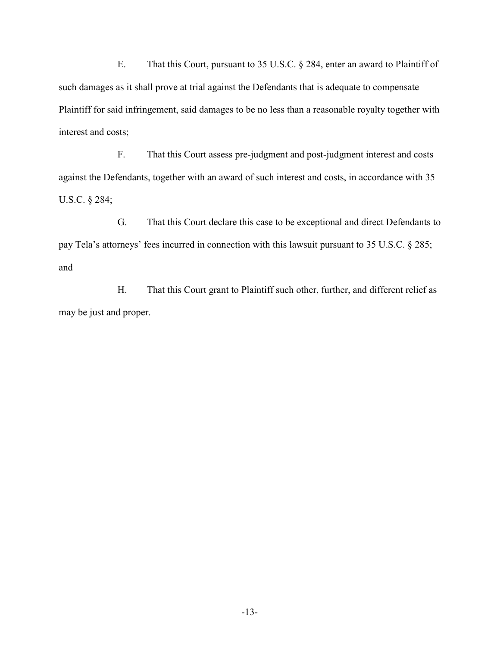E. That this Court, pursuant to 35 U.S.C. § 284, enter an award to Plaintiff of such damages as it shall prove at trial against the Defendants that is adequate to compensate Plaintiff for said infringement, said damages to be no less than a reasonable royalty together with interest and costs;

F. That this Court assess pre-judgment and post-judgment interest and costs against the Defendants, together with an award of such interest and costs, in accordance with 35 U.S.C. § 284;

G. That this Court declare this case to be exceptional and direct Defendants to pay Tela's attorneys' fees incurred in connection with this lawsuit pursuant to 35 U.S.C. § 285; and

H. That this Court grant to Plaintiff such other, further, and different relief as may be just and proper.